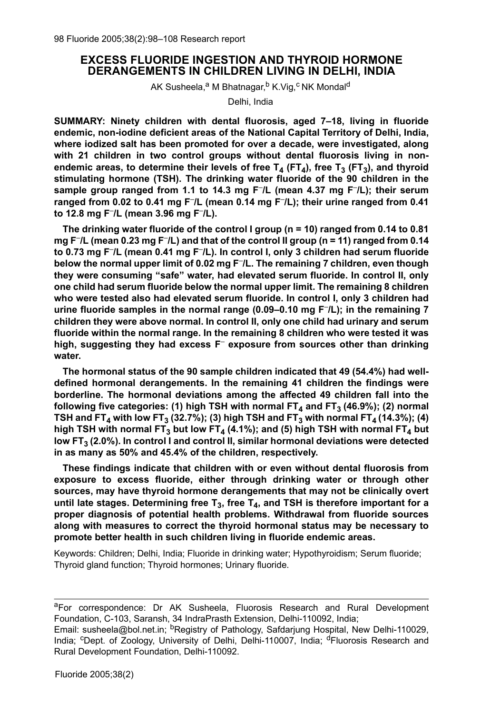# **EXCESS FLUORIDE INGESTION AND THYROID HORMONE DERANGEMENTS IN CHILDREN LIVING IN DELHI, INDIA**

AK Susheela,<sup>a</sup> M Bhatnagar,<sup>b</sup> K.Vig,<sup>c</sup> NK Mondal<sup>d</sup>

Delhi, India

**SUMMARY: Ninety children with dental fluorosis, aged 7–18, living in fluoride endemic, non-iodine deficient areas of the National Capital Territory of Delhi, India, where iodized salt has been promoted for over a decade, were investigated, along with 21 children in two control groups without dental fluorosis living in non**endemic areas, to determine their levels of free  $T_4$  (FT<sub>4</sub>), free T<sub>3</sub> (FT<sub>3</sub>), and thyroid **stimulating hormone (TSH). The drinking water fluoride of the 90 children in the sample group ranged from 1.1 to 14.3 mg F– /L (mean 4.37 mg F– /L); their serum ranged from 0.02 to 0.41 mg F– /L (mean 0.14 mg F– /L); their urine ranged from 0.41 to 12.8 mg F– /L (mean 3.96 mg F– /L).**

**The drinking water fluoride of the control I group (n = 10) ranged from 0.14 to 0.81 mg F– /L (mean 0.23 mg F– /L) and that of the control II group (n = 11) ranged from 0.14 to 0.73 mg F– /L (mean 0.41 mg F– /L). In control I, only 3 children had serum fluoride below the normal upper limit of 0.02 mg F– /L. The remaining 7 children, even though they were consuming "safe" water, had elevated serum fluoride. In control II, only one child had serum fluoride below the normal upper limit. The remaining 8 children who were tested also had elevated serum fluoride. In control I, only 3 children had urine fluoride samples in the normal range (0.09–0.10 mg F– /L); in the remaining 7 children they were above normal. In control II, only one child had urinary and serum fluoride within the normal range. In the remaining 8 children who were tested it was high, suggesting they had excess F– exposure from sources other than drinking water.**

**The hormonal status of the 90 sample children indicated that 49 (54.4%) had welldefined hormonal derangements. In the remaining 41 children the findings were borderline. The hormonal deviations among the affected 49 children fall into the** following five categories: (1) high TSH with normal  $FT<sub>4</sub>$  and  $FT<sub>3</sub>$  (46.9%); (2) normal **TSH** and FT<sub>4</sub> with low FT<sub>3</sub> (32.7%); (3) high TSH and FT<sub>3</sub> with normal FT<sub>4</sub> (14.3%); (4) high TSH with normal FT<sub>3</sub> but low FT<sub>4</sub> (4.1%); and (5) high TSH with normal FT<sub>4</sub> but low FT<sub>3</sub> (2.0%). In control I and control II, similar hormonal deviations were detected **in as many as 50% and 45.4% of the children, respectively.**

**These findings indicate that children with or even without dental fluorosis from exposure to excess fluoride, either through drinking water or through other sources, may have thyroid hormone derangements that may not be clinically overt** until late stages. Determining free  $T_3$ , free  $T_4$ , and TSH is therefore important for a **proper diagnosis of potential health problems. Withdrawal from fluoride sources along with measures to correct the thyroid hormonal status may be necessary to promote better health in such children living in fluoride endemic areas.**

Keywords: Children; Delhi, India; Fluoride in drinking water; Hypothyroidism; Serum fluoride; Thyroid gland function; Thyroid hormones; Urinary fluoride.

<sup>a</sup>For correspondence: Dr AK Susheela, Fluorosis Research and Rural Development Foundation, C-103, Saransh, 34 IndraPrasth Extension, Delhi-110092, India;

Email: susheela@bol.net.in; <sup>b</sup>Registry of Pathology, Safdarjung Hospital, New Delhi-110029, India; <sup>c</sup>Dept. of Zoology, University of Delhi, Delhi-110007, India; <sup>d</sup>Fluorosis Research and Rural Development Foundation, Delhi-110092.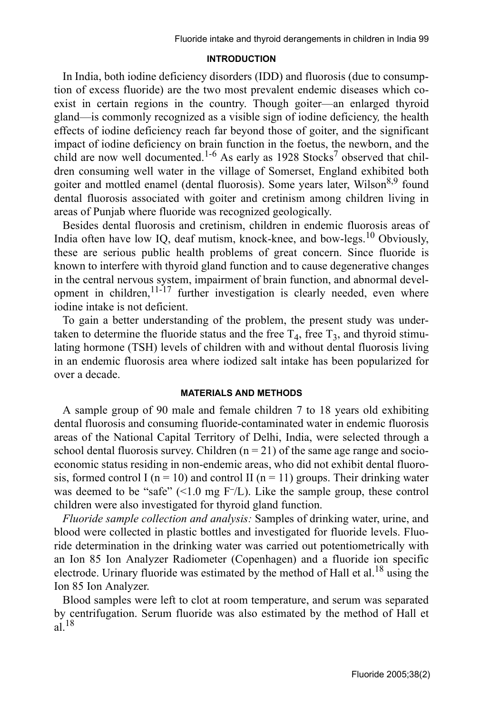## **INTRODUCTION**

In India, both iodine deficiency disorders (IDD) and fluorosis (due to consumption of excess fluoride) are the two most prevalent endemic diseases which coexist in certain regions in the country. Though goiter—an enlarged thyroid gland—is commonly recognized as a visible sign of iodine deficiency*,* the health effects of iodine deficiency reach far beyond those of goiter, and the significant impact of iodine deficiency on brain function in the foetus, the newborn, and the child are now well documented.<sup>1-6</sup> As early as 1928 Stocks<sup>7</sup> observed that children consuming well water in the village of Somerset, England exhibited both goiter and mottled enamel (dental fluorosis). Some years later, Wilson<sup>8,9</sup> found dental fluorosis associated with goiter and cretinism among children living in areas of Punjab where fluoride was recognized geologically.

Besides dental fluorosis and cretinism, children in endemic fluorosis areas of India often have low IQ, deaf mutism, knock-knee, and bow-legs.<sup>10</sup> Obviously, these are serious public health problems of great concern. Since fluoride is known to interfere with thyroid gland function and to cause degenerative changes in the central nervous system, impairment of brain function, and abnormal development in children, $11^{-17}$  further investigation is clearly needed, even where iodine intake is not deficient.

To gain a better understanding of the problem, the present study was undertaken to determine the fluoride status and the free  $T_4$ , free  $T_3$ , and thyroid stimulating hormone (TSH) levels of children with and without dental fluorosis living in an endemic fluorosis area where iodized salt intake has been popularized for over a decade.

## **MATERIALS AND METHODS**

A sample group of 90 male and female children 7 to 18 years old exhibiting dental fluorosis and consuming fluoride-contaminated water in endemic fluorosis areas of the National Capital Territory of Delhi, India, were selected through a school dental fluorosis survey. Children  $(n = 21)$  of the same age range and socioeconomic status residing in non-endemic areas, who did not exhibit dental fluorosis, formed control I ( $n = 10$ ) and control II ( $n = 11$ ) groups. Their drinking water was deemed to be "safe" (<1.0 mg F**–**/L). Like the sample group, these control children were also investigated for thyroid gland function.

*Fluoride sample collection and analysis:* Samples of drinking water, urine, and blood were collected in plastic bottles and investigated for fluoride levels. Fluoride determination in the drinking water was carried out potentiometrically with an Ion 85 Ion Analyzer Radiometer (Copenhagen) and a fluoride ion specific electrode. Urinary fluoride was estimated by the method of Hall et al.<sup>18</sup> using the Ion 85 Ion Analyzer.

Blood samples were left to clot at room temperature, and serum was separated by centrifugation. Serum fluoride was also estimated by the method of Hall et  $a\tilde{l}$ .<sup>18</sup>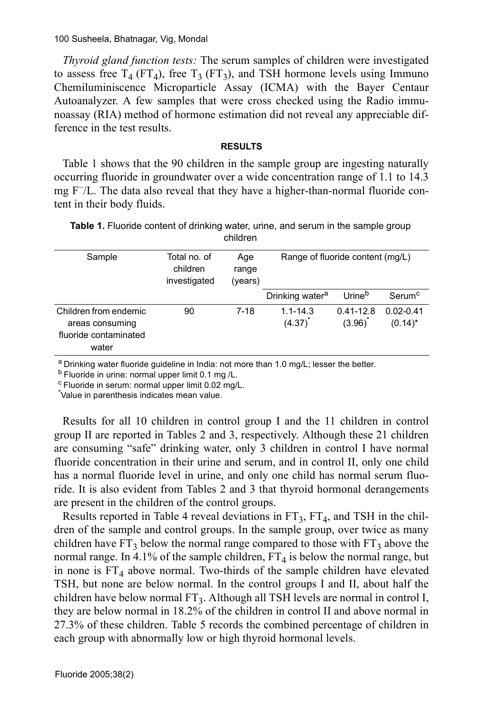*Thyroid gland function tests:* The serum samples of children were investigated to assess free  $T_4$  (FT<sub>4</sub>), free T<sub>3</sub> (FT<sub>3</sub>), and TSH hormone levels using Immuno Chemiluminiscence Microparticle Assay (ICMA) with the Bayer Centaur Autoanalyzer. A few samples that were cross checked using the Radio immunoassay (RIA) method of hormone estimation did not reveal any appreciable difference in the test results.

### **RESULTS**

Table 1 shows that the 90 children in the sample group are ingesting naturally occurring fluoride in groundwater over a wide concentration range of 1.1 to 14.3 mg F–/L. The data also reveal that they have a higher-than-normal fluoride content in their body fluids.

| $\mathbf{D}$ are no of fluorable points of $\ell$ as $\theta$ .<br>$\sim$ $\sim$ $\sim$ $\sim$ $\sim$ |
|-------------------------------------------------------------------------------------------------------|
| children                                                                                              |
| <b>Table 1.</b> Fluoride content of drinking water, urine, and serum in the sample group              |

| Sample                                                                     | Total no, of<br>children<br>investigated | Age<br>range<br>(years) | Range of fluoride content (mg/L) |                         |                             |
|----------------------------------------------------------------------------|------------------------------------------|-------------------------|----------------------------------|-------------------------|-----------------------------|
|                                                                            |                                          |                         | Drinking water <sup>a</sup>      | Urine <sup>b</sup>      | Serum <sup>c</sup>          |
| Children from endemic<br>areas consuming<br>fluoride contaminated<br>water | 90                                       | $7-18$                  | $1.1 - 14.3$<br>(4.37)           | $0.41 - 12.8$<br>(3.96) | $0.02 - 0.41$<br>$(0.14)^*$ |

a Drinking water fluoride guideline in India: not more than 1.0 mg/L; lesser the better.

b Fluoride in urine: normal upper limit 0.1 mg /L.

 $\textdegree$  Fluoride in serum: normal upper limit 0.02 mg/L.

\* Value in parenthesis indicates mean value.

Results for all 10 children in control group I and the 11 children in control group II are reported in Tables 2 and 3, respectively. Although these 21 children are consuming "safe" drinking water, only 3 children in control I have normal fluoride concentration in their urine and serum, and in control II, only one child has a normal fluoride level in urine, and only one child has normal serum fluoride. It is also evident from Tables 2 and 3 that thyroid hormonal derangements are present in the children of the control groups.

Results reported in Table 4 reveal deviations in  $FT_3$ ,  $FT_4$ , and TSH in the children of the sample and control groups. In the sample group, over twice as many children have  $FT_3$  below the normal range compared to those with  $FT_3$  above the normal range. In 4.1% of the sample children,  $FT_4$  is below the normal range, but in none is  $FT_4$  above normal. Two-thirds of the sample children have elevated TSH, but none are below normal. In the control groups I and II, about half the children have below normal FT<sub>3</sub>. Although all TSH levels are normal in control I, they are below normal in 18.2% of the children in control II and above normal in 27.3% of these children. Table 5 records the combined percentage of children in each group with abnormally low or high thyroid hormonal levels.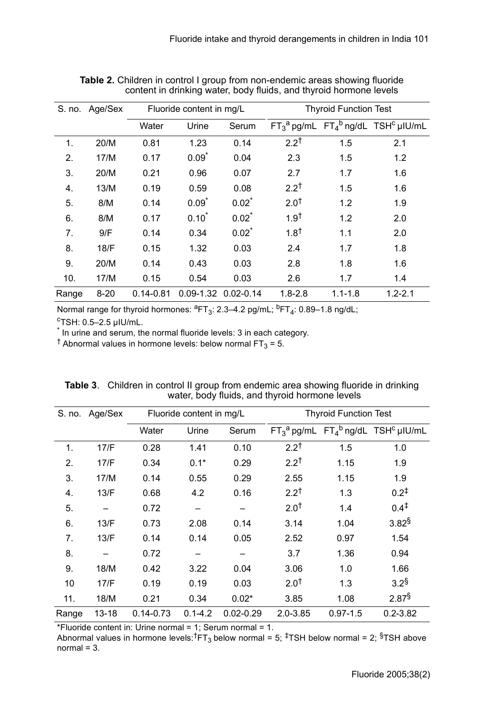| S. no. | Age/Sex  | Fluoride content in mg/L |          |                     | <b>Thyroid Function Test</b> |             |                                                                                                                  |
|--------|----------|--------------------------|----------|---------------------|------------------------------|-------------|------------------------------------------------------------------------------------------------------------------|
|        |          | Water                    | Urine    | Serum               |                              |             | $\overline{\mathsf{FT}_3{}^a \mathsf{pg/mL}$ $\mathsf{FT}_4{}^b \mathsf{ng/dL}$ $\mathsf{TSH}^c \mathsf{plU/mL}$ |
| 1.     | 20/M     | 0.81                     | 1.23     | 0.14                | $2.2^{\dagger}$              | 1.5         | 2.1                                                                                                              |
| 2.     | 17/M     | 0.17                     | $0.09*$  | 0.04                | 2.3                          | 1.5         | 1.2                                                                                                              |
| 3.     | 20/M     | 0.21                     | 0.96     | 0.07                | 2.7                          | 1.7         | 1.6                                                                                                              |
| 4.     | 13/M     | 0.19                     | 0.59     | 0.08                | $2.2^{\dagger}$              | 1.5         | 1.6                                                                                                              |
| 5.     | 8/M      | 0.14                     | $0.09*$  | $0.02$ <sup>*</sup> | 2.0 <sup>†</sup>             | 1.2         | 1.9                                                                                                              |
| 6.     | 8/M      | 0.17                     | $0.10^*$ | $0.02^*$            | 1.9 <sup>†</sup>             | 1.2         | 2.0                                                                                                              |
| 7.     | 9/F      | 0.14                     | 0.34     | $0.02^*$            | $1.8^{\dagger}$              | 1.1         | 2.0                                                                                                              |
| 8.     | 18/F     | 0.15                     | 1.32     | 0.03                | 2.4                          | 1.7         | 1.8                                                                                                              |
| 9.     | 20/M     | 0.14                     | 0.43     | 0.03                | 2.8                          | 1.8         | 1.6                                                                                                              |
| 10.    | 17/M     | 0.15                     | 0.54     | 0.03                | 2.6                          | 1.7         | 1.4                                                                                                              |
| Range  | $8 - 20$ | $0.14 - 0.81$            |          | 0.09-1.32 0.02-0.14 | $1.8 - 2.8$                  | $1.1 - 1.8$ | $1.2 - 2.1$                                                                                                      |

**Table 2.** Children in control I group from non-endemic areas showing fluoride content in drinking water, body fluids, and thyroid hormone levels

Normal range for thyroid hormones:  ${}^{8}F$ T<sub>3</sub>: 2.3–4.2 pg/mL;  ${}^{b}FT_4$ : 0.89–1.8 ng/dL;

cTSH: 0.5–2.5 µIU/mL.

\* In urine and serum, the normal fluoride levels: 3 in each category.

<sup>†</sup> Abnormal values in hormone levels: below normal FT<sub>3</sub> = 5.

| S. no. | Age/Sex | Fluoride content in mg/L |             |               | <b>Thyroid Function Test</b> |              |                                                       |
|--------|---------|--------------------------|-------------|---------------|------------------------------|--------------|-------------------------------------------------------|
|        |         | Water                    | Urine       | Serum         |                              |              | $FT_3^a$ pg/mL $FT_4^b$ ng/dL TSH <sup>c</sup> µIU/mL |
| 1.     | 17/F    | 0.28                     | 1.41        | 0.10          | $2.2^{\dagger}$              | 1.5          | 1.0                                                   |
| 2.     | 17/F    | 0.34                     | $0.1*$      | 0.29          | $2.2^{\dagger}$              | 1.15         | 1.9                                                   |
| 3.     | 17/M    | 0.14                     | 0.55        | 0.29          | 2.55                         | 1.15         | 1.9                                                   |
| 4.     | 13/F    | 0.68                     | 4.2         | 0.16          | $2.2^{\dagger}$              | 1.3          | $0.2^{+}$                                             |
| 5.     |         | 0.72                     |             |               | 2.0 <sup>†</sup>             | 1.4          | $0.4^{\ddagger}$                                      |
| 6.     | 13/F    | 0.73                     | 2.08        | 0.14          | 3.14                         | 1.04         | $3.82^{\$}$                                           |
| 7.     | 13/F    | 0.14                     | 0.14        | 0.05          | 2.52                         | 0.97         | 1.54                                                  |
| 8.     |         | 0.72                     |             |               | 3.7                          | 1.36         | 0.94                                                  |
| 9.     | 18/M    | 0.42                     | 3.22        | 0.04          | 3.06                         | 1.0          | 1.66                                                  |
| 10     | 17/F    | 0.19                     | 0.19        | 0.03          | 2.0 <sup>†</sup>             | 1.3          | $3.2^{\$}$                                            |
| 11.    | 18/M    | 0.21                     | 0.34        | $0.02*$       | 3.85                         | 1.08         | $2.87^{\$}$                                           |
| Range  | 13-18   | $0.14 - 0.73$            | $0.1 - 4.2$ | $0.02 - 0.29$ | $2.0 - 3.85$                 | $0.97 - 1.5$ | $0.2 - 3.82$                                          |

| <b>Table 3.</b> Children in control II group from endemic area showing fluoride in drinking |
|---------------------------------------------------------------------------------------------|
| water, body fluids, and thyroid hormone levels                                              |

\*Fluoride content in: Urine normal = 1; Serum normal = 1.

Abnormal values in hormone levels: ${}^{t}F_{13}$  below normal = 5;  ${}^{t}TSH$  below normal = 2;  ${}^{s}TSH$  above  $normal = 3$ .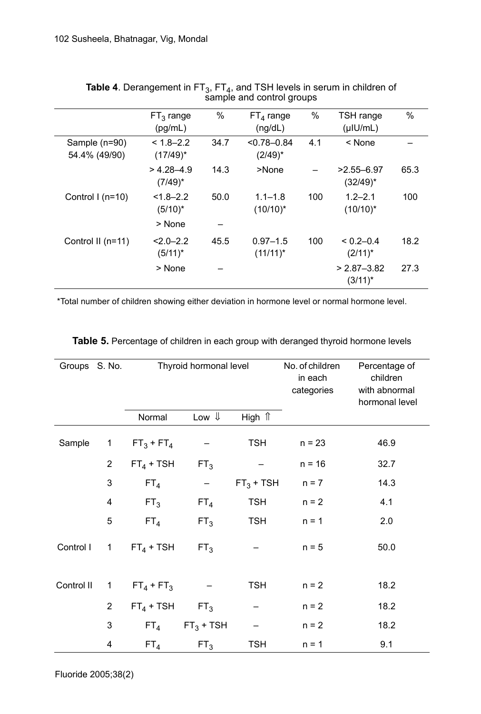|                                | $FT3$ range<br>(pq/mL)       | $\%$ | $FT4$ range<br>(nq/dL)        | $\%$ | TSH range<br>$(\mu$ IU/mL)    | $\%$ |
|--------------------------------|------------------------------|------|-------------------------------|------|-------------------------------|------|
| Sample (n=90)<br>54.4% (49/90) | $< 1.8 - 2.2$<br>$(17/49)^*$ | 34.7 | $< 0.78 - 0.84$<br>$(2/49)^*$ | 4.1  | $<$ None                      |      |
|                                | $> 4.28 - 4.9$<br>$(7/49)^*$ | 14.3 | >None                         |      | $>2.55 - 6.97$<br>$(32/49)^*$ | 65.3 |
| Control $1$ (n=10)             | $< 1.8 - 2.2$<br>$(5/10)^*$  | 50.0 | $1.1 - 1.8$<br>$(10/10)^*$    | 100  | $1.2 - 2.1$<br>$(10/10)^*$    | 100  |
|                                | > None                       |      |                               |      |                               |      |
| Control II (n=11)              | $< 2.0 - 2.2$<br>$(5/11)^*$  | 45.5 | $0.97 - 1.5$<br>$(11/11)^*$   | 100  | $< 0.2 - 0.4$<br>$(2/11)^*$   | 18.2 |
|                                | > None                       |      |                               |      | $> 2.87 - 3.82$<br>$(3/11)^*$ | 27.3 |

| <b>Table 4.</b> Derangement in $FT_3$ , $FT_4$ , and TSH levels in serum in children of |  |
|-----------------------------------------------------------------------------------------|--|
| sample and control groups                                                               |  |

\*Total number of children showing either deviation in hormone level or normal hormone level.

| Groups S. No. |                | Normal          | Thyroid hormonal level<br>Low $\Downarrow$<br>High $\hat{\mathbb{I}}$ |             | No. of children<br>in each<br>categories | Percentage of<br>children<br>with abnormal<br>hormonal level |
|---------------|----------------|-----------------|-----------------------------------------------------------------------|-------------|------------------------------------------|--------------------------------------------------------------|
|               |                |                 |                                                                       |             |                                          |                                                              |
| Sample        | 1              | $FT_3 + FT_4$   |                                                                       | <b>TSH</b>  | $n = 23$                                 | 46.9                                                         |
|               | 2              | $FT_4 + TSH$    | FT <sub>3</sub>                                                       |             | $n = 16$                                 | 32.7                                                         |
|               | 3              | FT <sub>4</sub> | $\qquad \qquad -$                                                     | $FT3 + TSH$ | $n = 7$                                  | 14.3                                                         |
|               | 4              | FT <sub>3</sub> | FT <sub>4</sub>                                                       | <b>TSH</b>  | $n = 2$                                  | 4.1                                                          |
|               | 5              | FT <sub>4</sub> | FT <sub>3</sub>                                                       | <b>TSH</b>  | $n = 1$                                  | 2.0                                                          |
| Control I     | 1              | $FT_4 + TSH$    | FT <sub>3</sub>                                                       |             | $n = 5$                                  | 50.0                                                         |
| Control II    | $\mathbf 1$    | $FT_4 + FT_3$   |                                                                       | <b>TSH</b>  | $n = 2$                                  | 18.2                                                         |
|               | $\overline{2}$ | $FT_4 + TSH$    | FT <sub>3</sub>                                                       |             | $n = 2$                                  | 18.2                                                         |
|               | 3              | FT <sub>4</sub> | $FT3 + TSH$                                                           |             | $n = 2$                                  | 18.2                                                         |
|               | 4              | FT <sub>4</sub> | FT <sub>3</sub>                                                       | <b>TSH</b>  | $n = 1$                                  | 9.1                                                          |

**Table 5.** Percentage of children in each group with deranged thyroid hormone levels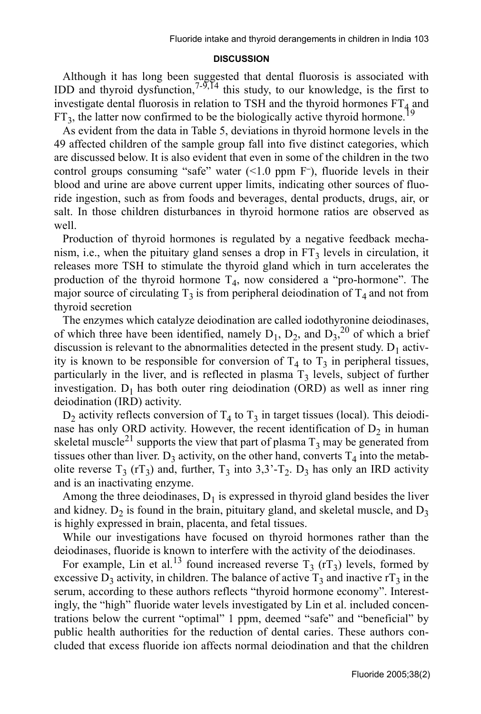#### **DISCUSSION**

Although it has long been suggested that dental fluorosis is associated with IDD and thyroid dysfunction,<sup>7-9,14</sup> this study, to our knowledge, is the first to investigate dental fluorosis in relation to TSH and the thyroid hormones  $FT<sub>4</sub>$  and  $FT_3$ , the latter now confirmed to be the biologically active thyroid hormone.<sup>19</sup>

As evident from the data in Table 5, deviations in thyroid hormone levels in the 49 affected children of the sample group fall into five distinct categories, which are discussed below. It is also evident that even in some of the children in the two control groups consuming "safe" water (<1.0 ppm F**–**), fluoride levels in their blood and urine are above current upper limits, indicating other sources of fluoride ingestion, such as from foods and beverages, dental products, drugs, air, or salt. In those children disturbances in thyroid hormone ratios are observed as well.

Production of thyroid hormones is regulated by a negative feedback mechanism, i.e., when the pituitary gland senses a drop in  $FT_3$  levels in circulation, it releases more TSH to stimulate the thyroid gland which in turn accelerates the production of the thyroid hormone  $T_4$ , now considered a "pro-hormone". The major source of circulating  $T_3$  is from peripheral deiodination of  $T_4$  and not from thyroid secretion

The enzymes which catalyze deiodination are called iodothyronine deiodinases, of which three have been identified, namely  $D_1$ ,  $D_2$ , and  $D_3$ <sup>20</sup> of which a brief discussion is relevant to the abnormalities detected in the present study.  $D_1$  activity is known to be responsible for conversion of  $T_4$  to  $T_3$  in peripheral tissues, particularly in the liver, and is reflected in plasma  $T_3$  levels, subject of further investigation.  $D_1$  has both outer ring deiodination (ORD) as well as inner ring deiodination (IRD) activity.

 $D_2$  activity reflects conversion of  $T_4$  to  $T_3$  in target tissues (local). This deiodinase has only ORD activity. However, the recent identification of  $D<sub>2</sub>$  in human skeletal muscle<sup>21</sup> supports the view that part of plasma  $T_3$  may be generated from tissues other than liver.  $D_3$  activity, on the other hand, converts  $T_4$  into the metabolite reverse  $T_3$  (rT<sub>3</sub>) and, further,  $T_3$  into 3,3'-T<sub>2</sub>. D<sub>3</sub> has only an IRD activity and is an inactivating enzyme.

Among the three deiodinases,  $D_1$  is expressed in thyroid gland besides the liver and kidney.  $D_2$  is found in the brain, pituitary gland, and skeletal muscle, and  $D_3$ is highly expressed in brain, placenta, and fetal tissues.

While our investigations have focused on thyroid hormones rather than the deiodinases, fluoride is known to interfere with the activity of the deiodinases.

For example, Lin et al.<sup>13</sup> found increased reverse  $T_3$  (rT<sub>3</sub>) levels, formed by excessive  $D_3$  activity, in children. The balance of active  $T_3$  and inactive rT<sub>3</sub> in the serum, according to these authors reflects "thyroid hormone economy". Interestingly, the "high" fluoride water levels investigated by Lin et al. included concentrations below the current "optimal" 1 ppm, deemed "safe" and "beneficial" by public health authorities for the reduction of dental caries. These authors concluded that excess fluoride ion affects normal deiodination and that the children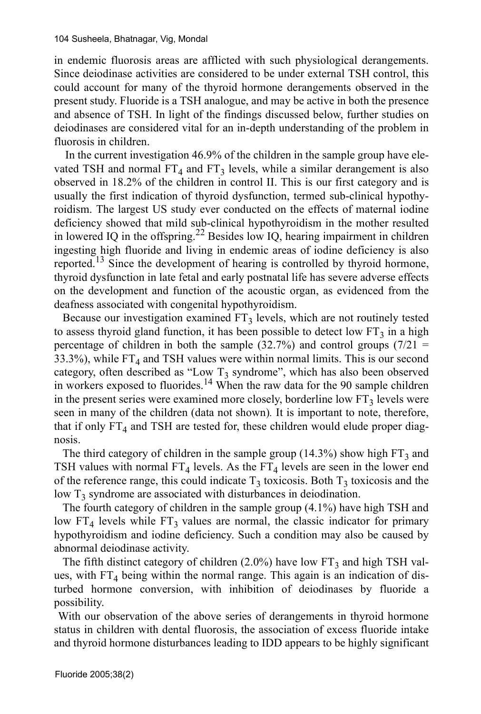in endemic fluorosis areas are afflicted with such physiological derangements. Since deiodinase activities are considered to be under external TSH control, this could account for many of the thyroid hormone derangements observed in the present study. Fluoride is a TSH analogue, and may be active in both the presence and absence of TSH. In light of the findings discussed below, further studies on deiodinases are considered vital for an in-depth understanding of the problem in fluorosis in children.

 In the current investigation 46.9% of the children in the sample group have elevated TSH and normal  $FT_4$  and  $FT_3$  levels, while a similar derangement is also observed in 18.2% of the children in control II. This is our first category and is usually the first indication of thyroid dysfunction, termed sub-clinical hypothyroidism. The largest US study ever conducted on the effects of maternal iodine deficiency showed that mild sub-clinical hypothyroidism in the mother resulted in lowered IQ in the offspring.<sup>22</sup> Besides low IQ, hearing impairment in children ingesting high fluoride and living in endemic areas of iodine deficiency is also reported.<sup>13</sup> Since the development of hearing is controlled by thyroid hormone, thyroid dysfunction in late fetal and early postnatal life has severe adverse effects on the development and function of the acoustic organ, as evidenced from the deafness associated with congenital hypothyroidism.

Because our investigation examined  $FT_3$  levels, which are not routinely tested to assess thyroid gland function, it has been possible to detect low  $FT_3$  in a high percentage of children in both the sample  $(32.7%)$  and control groups  $(7/21 =$ 33.3%), while  $FT_4$  and TSH values were within normal limits. This is our second category, often described as "Low  $T_3$  syndrome", which has also been observed in workers exposed to fluorides.<sup>14</sup> When the raw data for the 90 sample children in the present series were examined more closely, borderline low  $FT<sub>3</sub>$  levels were seen in many of the children (data not shown)*.* It is important to note, therefore, that if only  $FT_4$  and TSH are tested for, these children would elude proper diagnosis.

The third category of children in the sample group (14.3%) show high  $FT_3$  and TSH values with normal  $FT_4$  levels. As the  $FT_4$  levels are seen in the lower end of the reference range, this could indicate  $T_3$  toxicosis. Both  $T_3$  toxicosis and the low  $T_3$  syndrome are associated with disturbances in deiodination.

The fourth category of children in the sample group (4.1%) have high TSH and low  $FT<sub>4</sub>$  levels while  $FT<sub>3</sub>$  values are normal, the classic indicator for primary hypothyroidism and iodine deficiency. Such a condition may also be caused by abnormal deiodinase activity.

The fifth distinct category of children (2.0%) have low  $FT_3$  and high TSH values, with  $FT_4$  being within the normal range. This again is an indication of disturbed hormone conversion, with inhibition of deiodinases by fluoride a possibility.

 With our observation of the above series of derangements in thyroid hormone status in children with dental fluorosis, the association of excess fluoride intake and thyroid hormone disturbances leading to IDD appears to be highly significant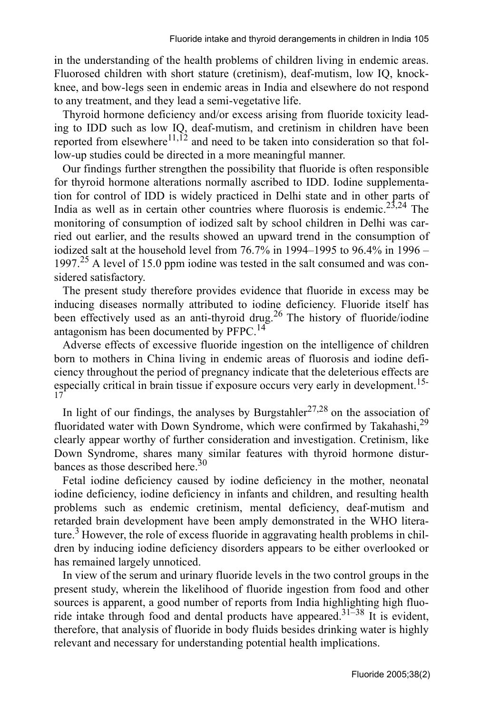in the understanding of the health problems of children living in endemic areas. Fluorosed children with short stature (cretinism), deaf-mutism, low IQ, knockknee, and bow-legs seen in endemic areas in India and elsewhere do not respond to any treatment, and they lead a semi-vegetative life.

Thyroid hormone deficiency and/or excess arising from fluoride toxicity leading to IDD such as low IQ, deaf-mutism, and cretinism in children have been reported from elsewhere<sup>11,12</sup> and need to be taken into consideration so that follow-up studies could be directed in a more meaningful manner.

Our findings further strengthen the possibility that fluoride is often responsible for thyroid hormone alterations normally ascribed to IDD. Iodine supplementation for control of IDD is widely practiced in Delhi state and in other parts of India as well as in certain other countries where fluorosis is endemic.<sup>23,24</sup> The monitoring of consumption of iodized salt by school children in Delhi was carried out earlier, and the results showed an upward trend in the consumption of iodized salt at the household level from 76.7% in 1994–1995 to 96.4% in 1996 – 1997.<sup>25</sup> A level of 15.0 ppm iodine was tested in the salt consumed and was considered satisfactory.

The present study therefore provides evidence that fluoride in excess may be inducing diseases normally attributed to iodine deficiency. Fluoride itself has been effectively used as an anti-thyroid drug.<sup>26</sup> The history of fluoride/iodine antagonism has been documented by PFPC.<sup>14</sup>

Adverse effects of excessive fluoride ingestion on the intelligence of children born to mothers in China living in endemic areas of fluorosis and iodine deficiency throughout the period of pregnancy indicate that the deleterious effects are especially critical in brain tissue if exposure occurs very early in development.<sup>15-</sup> 17

In light of our findings, the analyses by Burgstahler<sup>27,28</sup> on the association of fluoridated water with Down Syndrome, which were confirmed by Takahashi,<sup>29</sup> clearly appear worthy of further consideration and investigation. Cretinism, like Down Syndrome, shares many similar features with thyroid hormone disturbances as those described here.<sup>30</sup>

Fetal iodine deficiency caused by iodine deficiency in the mother, neonatal iodine deficiency, iodine deficiency in infants and children, and resulting health problems such as endemic cretinism, mental deficiency, deaf-mutism and retarded brain development have been amply demonstrated in the WHO literature.<sup>3</sup> However, the role of excess fluoride in aggravating health problems in children by inducing iodine deficiency disorders appears to be either overlooked or has remained largely unnoticed.

In view of the serum and urinary fluoride levels in the two control groups in the present study, wherein the likelihood of fluoride ingestion from food and other sources is apparent, a good number of reports from India highlighting high fluoride intake through food and dental products have appeared.<sup>31–38</sup> It is evident, therefore, that analysis of fluoride in body fluids besides drinking water is highly relevant and necessary for understanding potential health implications.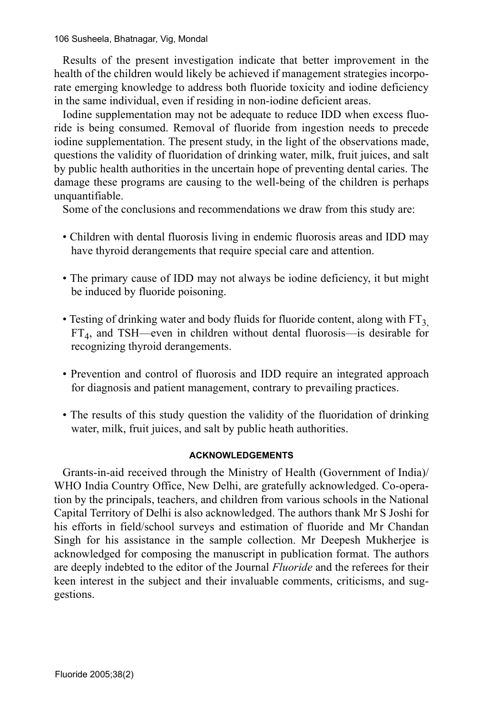106 Susheela, Bhatnagar, Vig, Mondal

Results of the present investigation indicate that better improvement in the health of the children would likely be achieved if management strategies incorporate emerging knowledge to address both fluoride toxicity and iodine deficiency in the same individual, even if residing in non-iodine deficient areas.

Iodine supplementation may not be adequate to reduce IDD when excess fluoride is being consumed. Removal of fluoride from ingestion needs to precede iodine supplementation. The present study, in the light of the observations made, questions the validity of fluoridation of drinking water, milk, fruit juices, and salt by public health authorities in the uncertain hope of preventing dental caries. The damage these programs are causing to the well-being of the children is perhaps unquantifiable.

Some of the conclusions and recommendations we draw from this study are:

- Children with dental fluorosis living in endemic fluorosis areas and IDD may have thyroid derangements that require special care and attention.
- The primary cause of IDD may not always be iodine deficiency, it but might be induced by fluoride poisoning.
- Testing of drinking water and body fluids for fluoride content, along with  $FT<sub>3</sub>$ FT4, and TSH—even in children without dental fluorosis—is desirable for recognizing thyroid derangements.
- Prevention and control of fluorosis and IDD require an integrated approach for diagnosis and patient management, contrary to prevailing practices.
- The results of this study question the validity of the fluoridation of drinking water, milk, fruit juices, and salt by public heath authorities.

# **ACKNOWLEDGEMENTS**

Grants-in-aid received through the Ministry of Health (Government of India)/ WHO India Country Office, New Delhi, are gratefully acknowledged. Co-operation by the principals, teachers, and children from various schools in the National Capital Territory of Delhi is also acknowledged. The authors thank Mr S Joshi for his efforts in field/school surveys and estimation of fluoride and Mr Chandan Singh for his assistance in the sample collection. Mr Deepesh Mukherjee is acknowledged for composing the manuscript in publication format. The authors are deeply indebted to the editor of the Journal *Fluoride* and the referees for their keen interest in the subject and their invaluable comments, criticisms, and suggestions.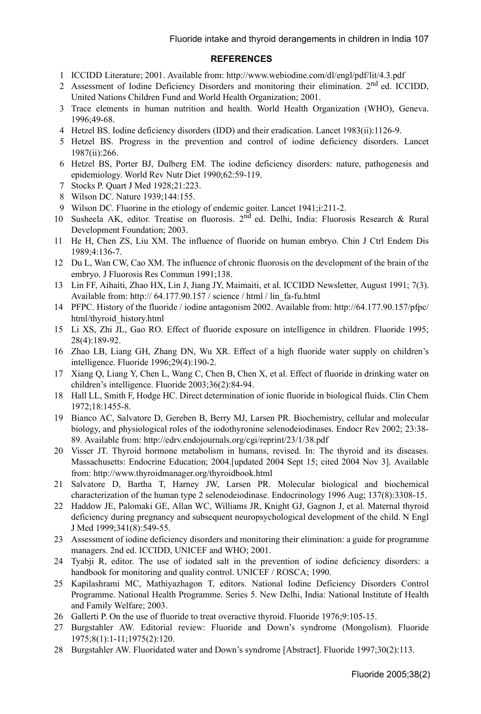#### **REFERENCES**

- 1 ICCIDD Literature; 2001. Available from: http://www.webiodine.com/dl/engl/pdf/lit/4.3.pdf
- 2 Assessment of Iodine Deficiency Disorders and monitoring their elimination. 2<sup>nd</sup> ed. ICCIDD, United Nations Children Fund and World Health Organization; 2001.
- 3 Trace elements in human nutrition and health. World Health Organization (WHO), Geneva. 1996;49-68.
- 4 Hetzel BS. Iodine deficiency disorders (IDD) and their eradication. Lancet 1983(ii):1126-9.
- 5 Hetzel BS. Progress in the prevention and control of iodine deficiency disorders. Lancet 1987(ii):266.
- 6 Hetzel BS, Porter BJ, Dulberg EM. The iodine deficiency disorders: nature, pathogenesis and epidemiology. World Rev Nutr Diet 1990;62:59-119.
- 7 Stocks P. Quart J Med 1928;21:223.
- 8 Wilson DC. Nature 1939;144:155.
- 9 Wilson DC. Fluorine in the etiology of endemic goiter. Lancet 1941;i:211-2.
- 10 Susheela AK, editor. Treatise on fluorosis. 2nd ed. Delhi, India: Fluorosis Research & Rural Development Foundation; 2003.
- 11 He H, Chen ZS, Liu XM. The influence of fluoride on human embryo. Chin J Ctrl Endem Dis 1989;4:136-7.
- 12 Du L, Wan CW, Cao XM. The influence of chronic fluorosis on the development of the brain of the embryo. J Fluorosis Res Commun 1991;138.
- 13 Lin FF, Aihaiti, Zhao HX, Lin J, Jiang JY, Maimaiti, et al. ICCIDD Newsletter, August 1991; 7(3). Available from: http:// 64.177.90.157 / science / html / lin\_fa-fu.html
- 14 PFPC. History of the fluoride / iodine antagonism 2002. Available from: http://64.177.90.157/pfpc/ html/thyroid\_history.html
- 15 Li XS, Zhi JL, Gao RO. Effect of fluoride exposure on intelligence in children. Fluoride 1995; 28(4):189-92.
- 16 Zhao LB, Liang GH, Zhang DN, Wu XR. Effect of a high fluoride water supply on children's intelligence. Fluoride 1996;29(4):190-2.
- 17 Xiang Q, Liang Y, Chen L, Wang C, Chen B, Chen X, et al. Effect of fluoride in drinking water on children's intelligence. Fluoride 2003;36(2):84-94.
- 18 Hall LL, Smith F, Hodge HC. Direct determination of ionic fluoride in biological fluids. Clin Chem 1972;18:1455-8.
- 19 Bianco AC, Salvatore D, Gereben B, Berry MJ, Larsen PR. Biochemistry, cellular and molecular biology, and physiological roles of the iodothyronine selenodeiodinases. Endocr Rev 2002; 23:38- 89. Available from: http://edrv.endojournals.org/cgi/reprint/23/1/38.pdf
- 20 Visser JT. Thyroid hormone metabolism in humans, revised. In: The thyroid and its diseases. Massachusetts: Endocrine Education; 2004.[updated 2004 Sept 15; cited 2004 Nov 3]. Available from: http://www.thyroidmanager.org/thyroidbook.html
- 21 Salvatore D, Bartha T, Harney JW, Larsen PR. Molecular biological and biochemical characterization of the human type 2 selenodeiodinase. Endocrinology 1996 Aug; 137(8):3308-15.
- 22 Haddow JE, Palomaki GE, Allan WC, Williams JR, Knight GJ, Gagnon J, et al. Maternal thyroid deficiency during pregnancy and subsequent neuropsychological development of the child. N Engl J Med 1999;341(8):549-55.
- 23 Assessment of iodine deficiency disorders and monitoring their elimination: a guide for programme managers. 2nd ed. ICCIDD, UNICEF and WHO; 2001.
- 24 Tyabji R, editor. The use of iodated salt in the prevention of iodine deficiency disorders: a handbook for monitoring and quality control. UNICEF / ROSCA; 1990.
- 25 Kapilashrami MC, Mathiyazhagon T, editors. National Iodine Deficiency Disorders Control Programme. National Health Programme. Series 5. New Delhi, India: National Institute of Health and Family Welfare; 2003.
- 26 Gallerti P. On the use of fluoride to treat overactive thyroid. Fluoride 1976;9:105-15.
- 27 Burgstahler AW. Editorial review: Fluoride and Down's syndrome (Mongolism). Fluoride 1975;8(1):1-11;1975(2):120.
- 28 Burgstahler AW. Fluoridated water and Down's syndrome [Abstract]. Fluoride 1997;30(2):113.